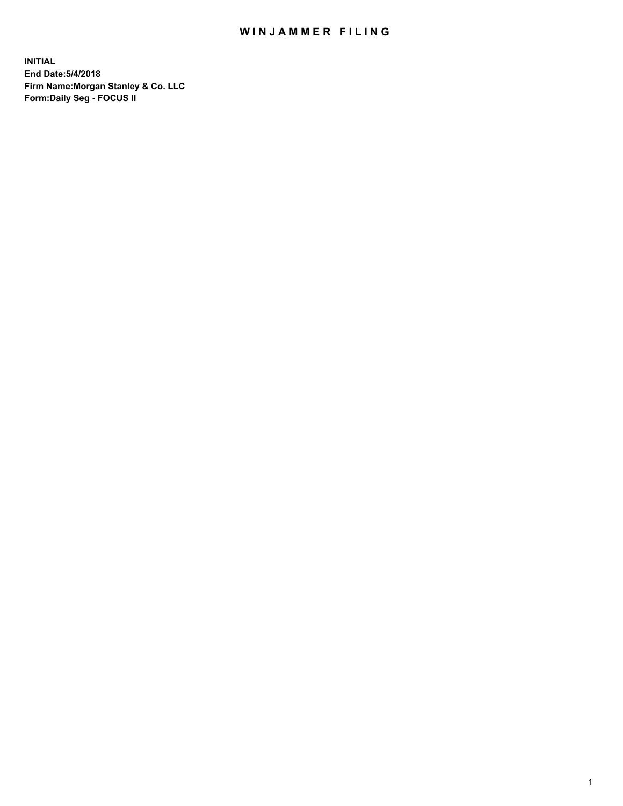#### WIN JAMMER FILING

**INITIAL End Date:5/4/2018 Firm Name:Morgan Stanley & Co. LLC Form:Daily Seg - FOCUS II**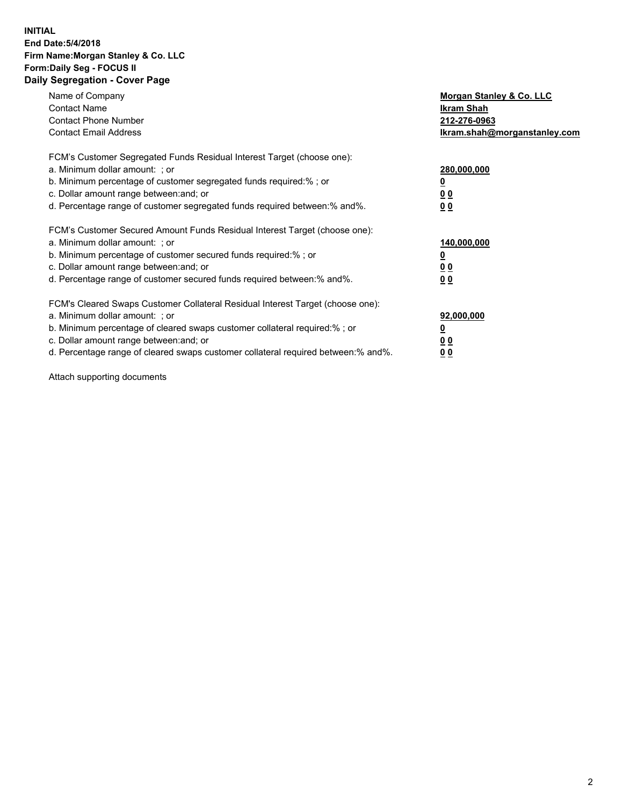#### **INITIAL End Date:5/4/2018 Firm Name:Morgan Stanley & Co. LLC Form:Daily Seg - FOCUS II Daily Segregation - Cover Page**

| Name of Company                                                                   | Morgan Stanley & Co. LLC     |  |
|-----------------------------------------------------------------------------------|------------------------------|--|
| <b>Contact Name</b>                                                               | Ikram Shah                   |  |
| <b>Contact Phone Number</b>                                                       | 212-276-0963                 |  |
| <b>Contact Email Address</b>                                                      | Ikram.shah@morganstanley.com |  |
| FCM's Customer Segregated Funds Residual Interest Target (choose one):            |                              |  |
| a. Minimum dollar amount: : or                                                    | 280,000,000                  |  |
| b. Minimum percentage of customer segregated funds required:%; or                 |                              |  |
| c. Dollar amount range between: and; or                                           | 0 <sub>0</sub>               |  |
| d. Percentage range of customer segregated funds required between:% and%.         | 00                           |  |
| FCM's Customer Secured Amount Funds Residual Interest Target (choose one):        |                              |  |
| a. Minimum dollar amount: ; or                                                    | 140,000,000                  |  |
| b. Minimum percentage of customer secured funds required:% ; or                   |                              |  |
| c. Dollar amount range between: and; or                                           | <u>00</u>                    |  |
| d. Percentage range of customer secured funds required between: % and %.          | 0 <sub>0</sub>               |  |
| FCM's Cleared Swaps Customer Collateral Residual Interest Target (choose one):    |                              |  |
| a. Minimum dollar amount: ; or                                                    | 92,000,000                   |  |
| b. Minimum percentage of cleared swaps customer collateral required:%; or         |                              |  |
| c. Dollar amount range between: and; or                                           | 0 <sub>0</sub>               |  |
| d. Percentage range of cleared swaps customer collateral required between:% and%. | <u>00</u>                    |  |

Attach supporting documents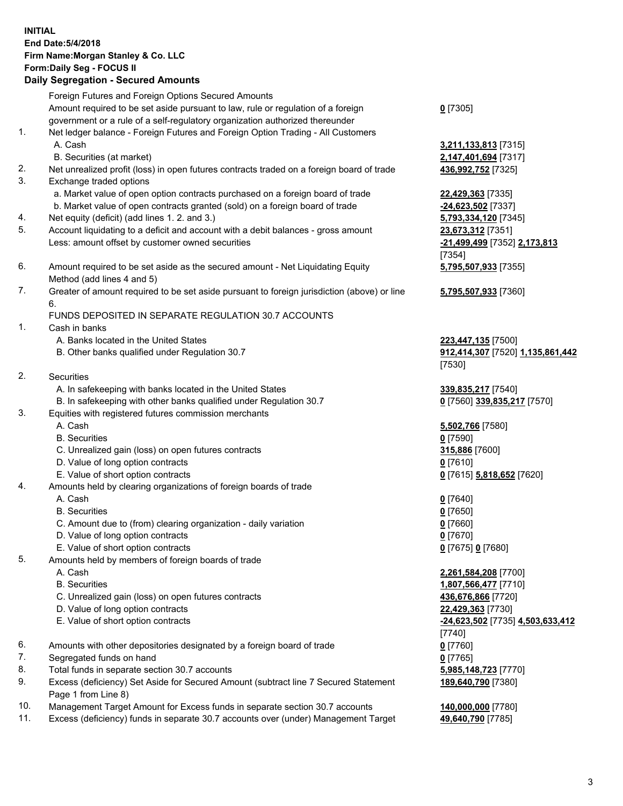## **INITIAL End Date:5/4/2018 Firm Name:Morgan Stanley & Co. LLC Form:Daily Seg - FOCUS II**

#### **Daily Segregation - Secured Amounts**

|          | Foreign Futures and Foreign Options Secured Amounts                                                                  |                                        |
|----------|----------------------------------------------------------------------------------------------------------------------|----------------------------------------|
|          | Amount required to be set aside pursuant to law, rule or regulation of a foreign                                     | $0$ [7305]                             |
|          | government or a rule of a self-regulatory organization authorized thereunder                                         |                                        |
| 1.       | Net ledger balance - Foreign Futures and Foreign Option Trading - All Customers                                      |                                        |
|          | A. Cash                                                                                                              | 3,211,133,813 [7315]                   |
|          | B. Securities (at market)                                                                                            | 2,147,401,694 [7317]                   |
| 2.<br>3. | Net unrealized profit (loss) in open futures contracts traded on a foreign board of trade<br>Exchange traded options | 436,992,752 [7325]                     |
|          | a. Market value of open option contracts purchased on a foreign board of trade                                       | 22,429,363 [7335]                      |
|          | b. Market value of open contracts granted (sold) on a foreign board of trade                                         | -24,623,502 [7337]                     |
| 4.       | Net equity (deficit) (add lines 1.2. and 3.)                                                                         | 5,793,334,120 [7345]                   |
| 5.       | Account liquidating to a deficit and account with a debit balances - gross amount                                    | 23,673,312 [7351]                      |
|          | Less: amount offset by customer owned securities                                                                     | -21,499,499 [7352] 2,173,813<br>[7354] |
| 6.       | Amount required to be set aside as the secured amount - Net Liquidating Equity                                       | 5,795,507,933 [7355]                   |
|          | Method (add lines 4 and 5)                                                                                           |                                        |
| 7.       | Greater of amount required to be set aside pursuant to foreign jurisdiction (above) or line<br>6.                    | 5,795,507,933 [7360]                   |
|          | FUNDS DEPOSITED IN SEPARATE REGULATION 30.7 ACCOUNTS                                                                 |                                        |
| 1.       | Cash in banks                                                                                                        |                                        |
|          | A. Banks located in the United States                                                                                | 223,447,135 [7500]                     |
|          | B. Other banks qualified under Regulation 30.7                                                                       | 912,414,307 [7520] 1,135,861,442       |
|          |                                                                                                                      | [7530]                                 |
| 2.       | Securities                                                                                                           |                                        |
|          | A. In safekeeping with banks located in the United States                                                            | 339,835,217 [7540]                     |
|          | B. In safekeeping with other banks qualified under Regulation 30.7                                                   | 0 [7560] 339,835,217 [7570]            |
| 3.       | Equities with registered futures commission merchants                                                                |                                        |
|          | A. Cash                                                                                                              | 5,502,766 [7580]                       |
|          | <b>B.</b> Securities                                                                                                 | $0$ [7590]                             |
|          | C. Unrealized gain (loss) on open futures contracts                                                                  | 315,886 [7600]                         |
|          | D. Value of long option contracts                                                                                    | $0$ [7610]                             |
|          | E. Value of short option contracts                                                                                   | 0 [7615] 5,818,652 [7620]              |
| 4.       | Amounts held by clearing organizations of foreign boards of trade                                                    |                                        |
|          | A. Cash                                                                                                              | $0$ [7640]                             |
|          | <b>B.</b> Securities                                                                                                 | $0$ [7650]                             |
|          | C. Amount due to (from) clearing organization - daily variation                                                      | $0$ [7660]                             |
|          | D. Value of long option contracts                                                                                    | $0$ [7670]                             |
|          | E. Value of short option contracts                                                                                   | 0 [7675] 0 [7680]                      |
| 5.       | Amounts held by members of foreign boards of trade                                                                   |                                        |
|          | A. Cash                                                                                                              | 2,261,584,208 [7700]                   |
|          | <b>B.</b> Securities                                                                                                 | 1,807,566,477 [7710]                   |
|          | C. Unrealized gain (loss) on open futures contracts                                                                  | 436,676,866 [7720]                     |
|          | D. Value of long option contracts                                                                                    | 22,429,363 [7730]                      |
|          | E. Value of short option contracts                                                                                   | -24,623,502 [7735] 4,503,633,412       |
|          |                                                                                                                      | [7740]                                 |
| 6.       | Amounts with other depositories designated by a foreign board of trade                                               | $0$ [7760]                             |
| 7.       | Segregated funds on hand                                                                                             | $0$ [7765]                             |
| 8.       | Total funds in separate section 30.7 accounts                                                                        | 5,985,148,723 [7770]                   |
| 9.       | Excess (deficiency) Set Aside for Secured Amount (subtract line 7 Secured Statement<br>Page 1 from Line 8)           | 189,640,790 [7380]                     |
| 10.      | Management Target Amount for Excess funds in separate section 30.7 accounts                                          | 140,000,000 [7780]                     |
| 11.      | Excess (deficiency) funds in separate 30.7 accounts over (under) Management Target                                   | 49,640,790 [7785]                      |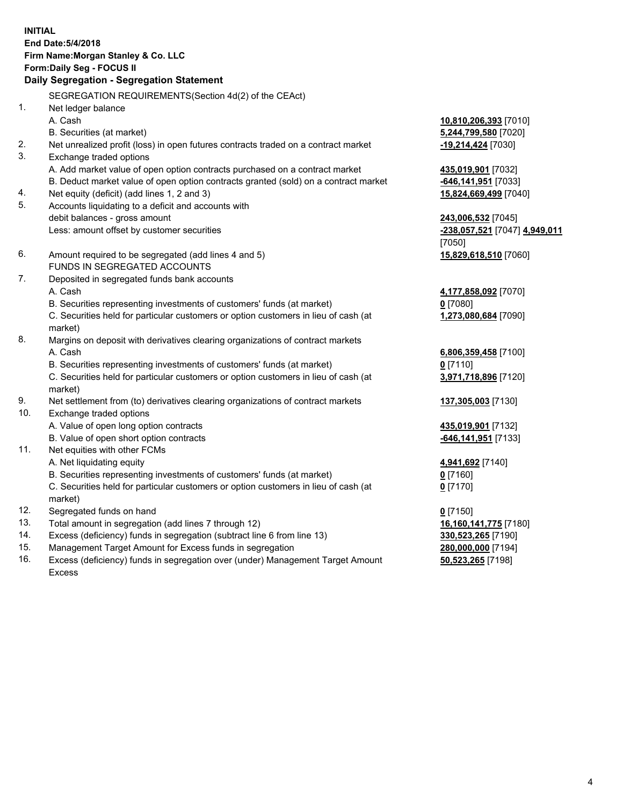## **INITIAL End Date:5/4/2018 Firm Name:Morgan Stanley & Co. LLC Form:Daily Seg - FOCUS II**

# **Daily Segregation - Segregation Statement**

SEGREGATION REQUIREMENTS(Section 4d(2) of the CEAct) 1. Net ledger balance A. Cash **10,810,206,393** [7010] B. Securities (at market) **5,244,799,580** [7020] 2. Net unrealized profit (loss) in open futures contracts traded on a contract market **-19,214,424** [7030] 3. Exchange traded options A. Add market value of open option contracts purchased on a contract market **435,019,901** [7032] B. Deduct market value of open option contracts granted (sold) on a contract market **-646,141,951** [7033] 4. Net equity (deficit) (add lines 1, 2 and 3) **15,824,669,499** [7040] 5. Accounts liquidating to a deficit and accounts with debit balances - gross amount **243,006,532** [7045] Less: amount offset by customer securities **-238,057,521** [7047] **4,949,011** [7050] 6. Amount required to be segregated (add lines 4 and 5) **15,829,618,510** [7060] FUNDS IN SEGREGATED ACCOUNTS 7. Deposited in segregated funds bank accounts A. Cash **4,177,858,092** [7070] B. Securities representing investments of customers' funds (at market) **0** [7080] C. Securities held for particular customers or option customers in lieu of cash (at market) **1,273,080,684** [7090] 8. Margins on deposit with derivatives clearing organizations of contract markets A. Cash **6,806,359,458** [7100] B. Securities representing investments of customers' funds (at market) **0** [7110] C. Securities held for particular customers or option customers in lieu of cash (at market) **3,971,718,896** [7120] 9. Net settlement from (to) derivatives clearing organizations of contract markets **137,305,003** [7130] 10. Exchange traded options A. Value of open long option contracts **435,019,901** [7132] B. Value of open short option contracts **-646,141,951** [7133] 11. Net equities with other FCMs A. Net liquidating equity **4,941,692** [7140] B. Securities representing investments of customers' funds (at market) **0** [7160] C. Securities held for particular customers or option customers in lieu of cash (at market) **0** [7170] 12. Segregated funds on hand **0** [7150] 13. Total amount in segregation (add lines 7 through 12) **16,160,141,775** [7180] 14. Excess (deficiency) funds in segregation (subtract line 6 from line 13) **330,523,265** [7190] 15. Management Target Amount for Excess funds in segregation **280,000,000** [7194]

16. Excess (deficiency) funds in segregation over (under) Management Target Amount Excess

**50,523,265** [7198]